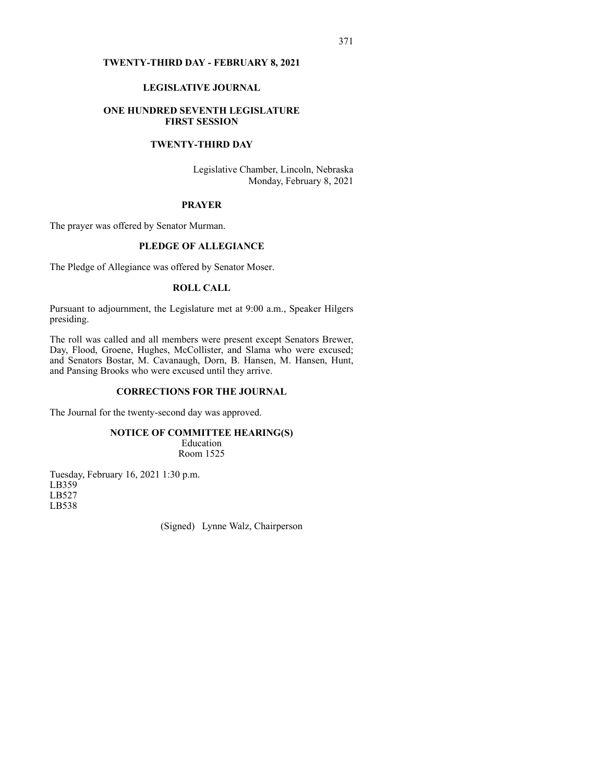# **TWENTY-THIRD DAY - FEBRUARY 8, 2021**

# **LEGISLATIVE JOURNAL**

## **ONE HUNDRED SEVENTH LEGISLATURE FIRST SESSION**

# **TWENTY-THIRD DAY**

Legislative Chamber, Lincoln, Nebraska Monday, February 8, 2021

### **PRAYER**

The prayer was offered by Senator Murman.

# **PLEDGE OF ALLEGIANCE**

The Pledge of Allegiance was offered by Senator Moser.

# **ROLL CALL**

Pursuant to adjournment, the Legislature met at 9:00 a.m., Speaker Hilgers presiding.

The roll was called and all members were present except Senators Brewer, Day, Flood, Groene, Hughes, McCollister, and Slama who were excused; and Senators Bostar, M. Cavanaugh, Dorn, B. Hansen, M. Hansen, Hunt, and Pansing Brooks who were excused until they arrive.

# **CORRECTIONS FOR THE JOURNAL**

The Journal for the twenty-second day was approved.

# **NOTICE OF COMMITTEE HEARING(S)**

Education Room 1525

Tuesday, February 16, 2021 1:30 p.m. LB359 LB527 LB538

(Signed) Lynne Walz, Chairperson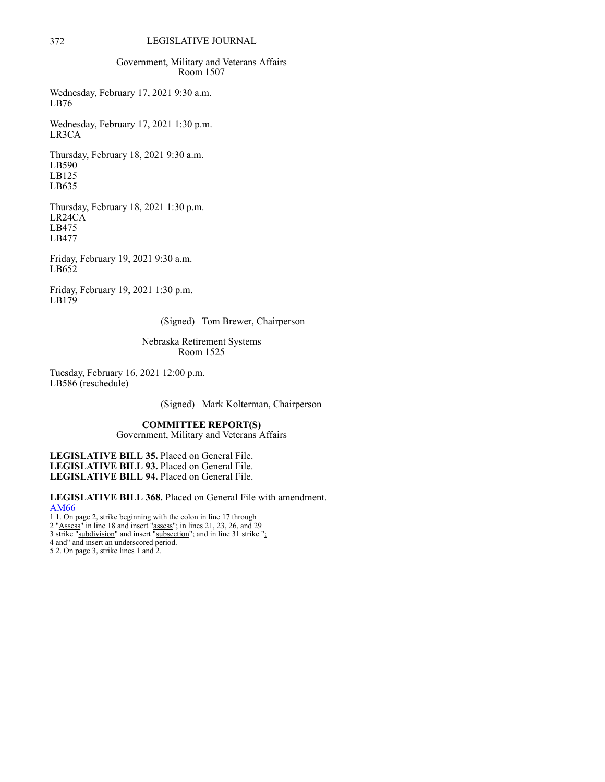# 372 LEGISLATIVE JOURNAL

Government, Military and Veterans Affairs Room 1507

Wednesday, February 17, 2021 9:30 a.m. LB76

Wednesday, February 17, 2021 1:30 p.m. LR3CA

Thursday, February 18, 2021 9:30 a.m. LB590 LB125 LB635

Thursday, February 18, 2021 1:30 p.m. LR24CA LB475 LB477

Friday, February 19, 2021 9:30 a.m. LB652

Friday, February 19, 2021 1:30 p.m. LB179

(Signed) Tom Brewer, Chairperson

Nebraska Retirement Systems Room 1525

Tuesday, February 16, 2021 12:00 p.m. LB586 (reschedule)

(Signed) Mark Kolterman, Chairperson

## **COMMITTEE REPORT(S)**

Government, Military and Veterans Affairs

**LEGISLATIVE BILL 35.** Placed on General File. **LEGISLATIVE BILL 93.** Placed on General File. **LEGISLATIVE BILL 94.** Placed on General File.

**LEGISLATIVE BILL 368.** Placed on General File with amendment. [AM66](https://www.nebraskalegislature.gov/FloorDocs/107/PDF/AM/AM66.pdf)

1 1. On page 2, strike beginning with the colon in line 17 through

2 "Assess" in line 18 and insert "assess"; in lines 21, 23, 26, and 29

3 strike "subdivision" and insert "subsection"; and in line 31 strike "; 4 and" and insert an underscored period.

5 2. On page 3, strike lines 1 and 2.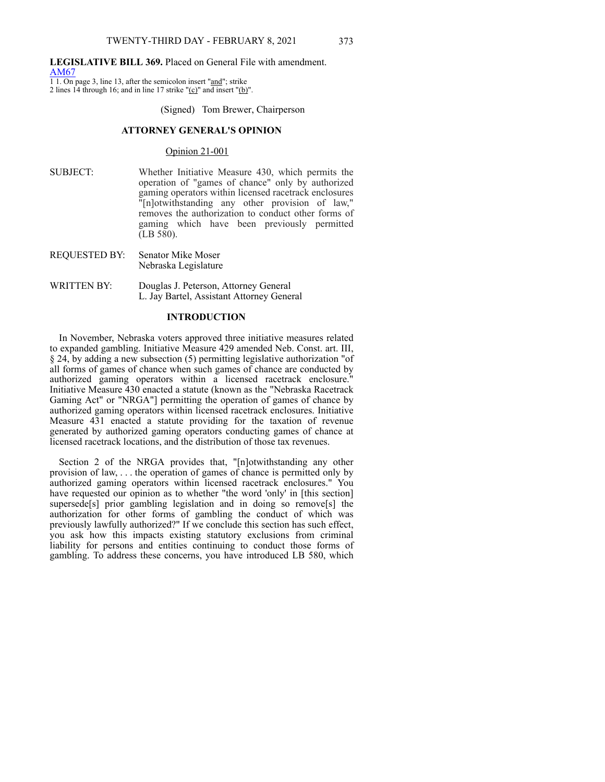#### **LEGISLATIVE BILL 369.** Placed on General File with amendment. [AM67](https://www.nebraskalegislature.gov/FloorDocs/107/PDF/AM/AM67.pdf)

1 1. On page 3, line 13, after the semicolon insert "and"; strike 2 lines 14 through 16; and in line 17 strike " $(c)$ " and insert " $(b)$ ".

#### (Signed) Tom Brewer, Chairperson

# **ATTORNEY GENERAL'S OPINION**

## Opinion 21‑001

- SUBJECT: Whether Initiative Measure 430, which permits the operation of "games of chance" only by authorized gaming operators within licensed racetrack enclosures "[n]otwithstanding any other provision of law," removes the authorization to conduct other forms of gaming which have been previously permitted (LB 580).
- REQUESTED BY: Senator Mike Moser Nebraska Legislature
- WRITTEN BY: Douglas J. Peterson, Attorney General L. Jay Bartel, Assistant Attorney General

#### **INTRODUCTION**

In November, Nebraska voters approved three initiative measures related to expanded gambling. Initiative Measure 429 amended Neb. Const. art. III, § 24, by adding a new subsection (5) permitting legislative authorization "of all forms of games of chance when such games of chance are conducted by authorized gaming operators within a licensed racetrack enclosure." Initiative Measure 430 enacted a statute (known as the "Nebraska Racetrack Gaming Act" or "NRGA"] permitting the operation of games of chance by authorized gaming operators within licensed racetrack enclosures. Initiative Measure 431 enacted a statute providing for the taxation of revenue generated by authorized gaming operators conducting games of chance at licensed racetrack locations, and the distribution of those tax revenues.

Section 2 of the NRGA provides that, "[n]otwithstanding any other provision of law, . . . the operation of games of chance is permitted only by authorized gaming operators within licensed racetrack enclosures." You have requested our opinion as to whether "the word 'only' in [this section] supersede[s] prior gambling legislation and in doing so remove[s] the authorization for other forms of gambling the conduct of which was previously lawfully authorized?" If we conclude this section has such effect, you ask how this impacts existing statutory exclusions from criminal liability for persons and entities continuing to conduct those forms of gambling. To address these concerns, you have introduced LB 580, which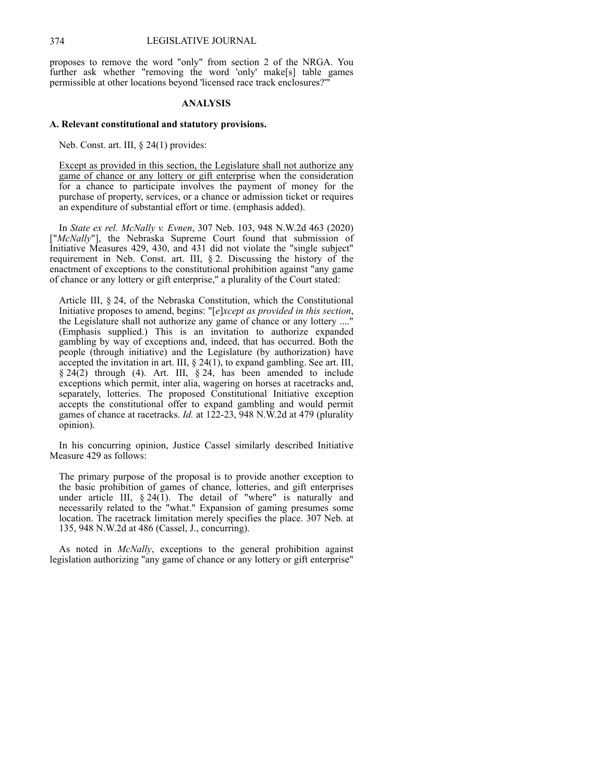proposes to remove the word "only" from section 2 of the NRGA. You further ask whether "removing the word 'only' make[s] table games permissible at other locations beyond 'licensed race track enclosures?'

#### **ANALYSIS**

#### **A. Relevant constitutional and statutory provisions.**

Neb. Const. art. III, § 24(1) provides:

Except as provided in this section, the Legislature shall not authorize any game of chance or any lottery or gift enterprise when the consideration for a chance to participate involves the payment of money for the purchase of property, services, or a chance or admission ticket or requires an expenditure of substantial effort or time. (emphasis added).

In *State ex rel. McNally v. Evnen*, 307 Neb. 103, 948 N.W.2d 463 (2020) ["*McNally*"], the Nebraska Supreme Court found that submission of Initiative Measures 429, 430, and 431 did not violate the "single subject" requirement in Neb. Const. art. III, § 2. Discussing the history of the enactment of exceptions to the constitutional prohibition against "any game of chance or any lottery or gift enterprise," a plurality of the Court stated:

Article III, § 24, of the Nebraska Constitution, which the Constitutional Initiative proposes to amend, begins: "[*e*]*xcept as provided in this section*, the Legislature shall not authorize any game of chance or any lottery ...." (Emphasis supplied.) This is an invitation to authorize expanded gambling by way of exceptions and, indeed, that has occurred. Both the people (through initiative) and the Legislature (by authorization) have accepted the invitation in art. III, § 24(1), to expand gambling. See art. III, § 24(2) through (4). Art. III, § 24, has been amended to include exceptions which permit, inter alia, wagering on horses at racetracks and, separately, lotteries. The proposed Constitutional Initiative exception accepts the constitutional offer to expand gambling and would permit games of chance at racetracks. *Id.* at 122‑23, 948 N.W.2d at 479 (plurality opinion).

In his concurring opinion, Justice Cassel similarly described Initiative Measure 429 as follows:

The primary purpose of the proposal is to provide another exception to the basic prohibition of games of chance, lotteries, and gift enterprises under article III, § 24(1). The detail of "where" is naturally and necessarily related to the "what." Expansion of gaming presumes some location. The racetrack limitation merely specifies the place. 307 Neb. at 135, 948 N.W.2d at 486 (Cassel, J., concurring).

As noted in *McNally*, exceptions to the general prohibition against legislation authorizing "any game of chance or any lottery or gift enterprise"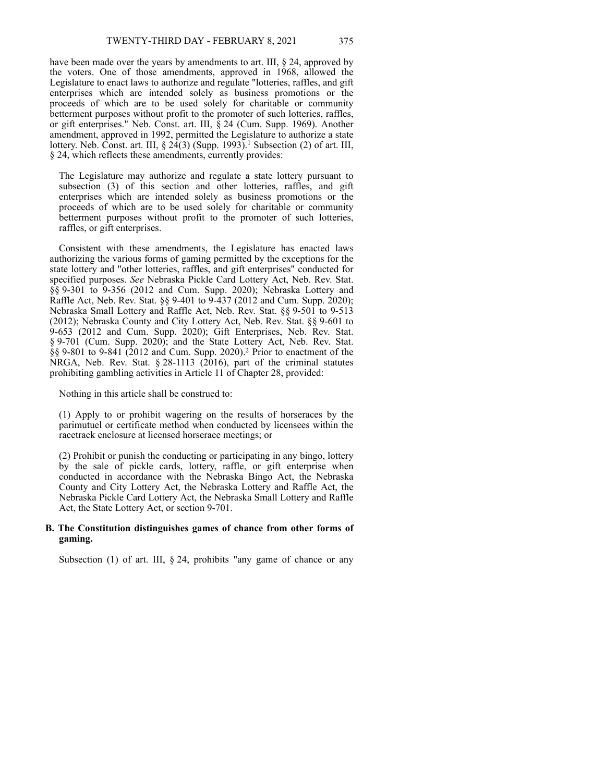have been made over the years by amendments to art. III, § 24, approved by the voters. One of those amendments, approved in 1968, allowed the Legislature to enact laws to authorize and regulate "lotteries, raffles, and gift enterprises which are intended solely as business promotions or the proceeds of which are to be used solely for charitable or community betterment purposes without profit to the promoter of such lotteries, raffles, or gift enterprises." Neb. Const. art. III, § 24 (Cum. Supp. 1969). Another amendment, approved in 1992, permitted the Legislature to authorize a state lottery. Neb. Const. art. III,  $\S$   $2\frac{4}{3}$  (Supp. 1993).<sup>1</sup> Subsection (2) of art. III, § 24, which reflects these amendments, currently provides:

The Legislature may authorize and regulate a state lottery pursuant to subsection (3) of this section and other lotteries, raffles, and gift enterprises which are intended solely as business promotions or the proceeds of which are to be used solely for charitable or community betterment purposes without profit to the promoter of such lotteries, raffles, or gift enterprises.

Consistent with these amendments, the Legislature has enacted laws authorizing the various forms of gaming permitted by the exceptions for the state lottery and "other lotteries, raffles, and gift enterprises" conducted for specified purposes. *See* Nebraska Pickle Card Lottery Act, Neb. Rev. Stat. §§ 9-301 to 9-356 (2012 and Cum. Supp. 2020); Nebraska Lottery and Raffle Act, Neb. Rev. Stat. §§ 9-401 to 9-437 (2012 and Cum. Supp. 2020); Nebraska Small Lottery and Raffle Act, Neb. Rev. Stat. §§ 9-501 to 9-513 (2012); Nebraska County and City Lottery Act, Neb. Rev. Stat. §§ 9-601 to 9‑653 (2012 and Cum. Supp. 2020); Gift Enterprises, Neb. Rev. Stat. § 9-701 (Cum. Supp. 2020); and the State Lottery Act, Neb. Rev. Stat. §§ 9‑801 to 9‑841 (2012 and Cum. Supp. 2020).<sup>2</sup> Prior to enactment of the NRGA, Neb. Rev. Stat. § 28-1113 (2016), part of the criminal statutes prohibiting gambling activities in Article 11 of Chapter 28, provided:

Nothing in this article shall be construed to:

(1) Apply to or prohibit wagering on the results of horseraces by the parimutuel or certificate method when conducted by licensees within the racetrack enclosure at licensed horserace meetings; or

(2) Prohibit or punish the conducting or participating in any bingo, lottery by the sale of pickle cards, lottery, raffle, or gift enterprise when conducted in accordance with the Nebraska Bingo Act, the Nebraska County and City Lottery Act, the Nebraska Lottery and Raffle Act, the Nebraska Pickle Card Lottery Act, the Nebraska Small Lottery and Raffle Act, the State Lottery Act, or section 9–701.

#### **B. The Constitution distinguishes games of chance from other forms of gaming.**

Subsection (1) of art. III,  $\S 24$ , prohibits "any game of chance or any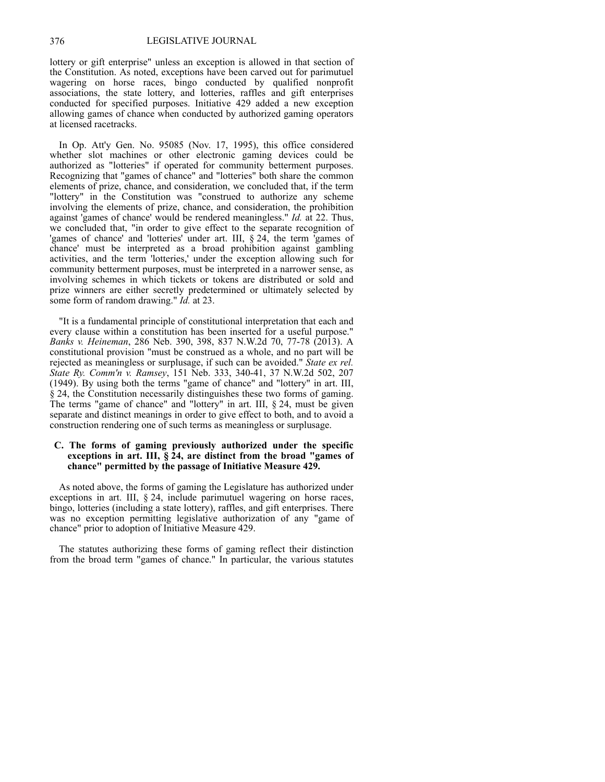lottery or gift enterprise" unless an exception is allowed in that section of the Constitution. As noted, exceptions have been carved out for parimutuel wagering on horse races, bingo conducted by qualified nonprofit associations, the state lottery, and lotteries, raffles and gift enterprises conducted for specified purposes. Initiative 429 added a new exception allowing games of chance when conducted by authorized gaming operators at licensed racetracks.

In Op. Att'y Gen. No. 95085 (Nov. 17, 1995), this office considered whether slot machines or other electronic gaming devices could be authorized as "lotteries" if operated for community betterment purposes. Recognizing that "games of chance" and "lotteries" both share the common elements of prize, chance, and consideration, we concluded that, if the term "lottery" in the Constitution was "construed to authorize any scheme involving the elements of prize, chance, and consideration, the prohibition against 'games of chance' would be rendered meaningless." *Id.* at 22. Thus, we concluded that, "in order to give effect to the separate recognition of 'games of chance' and 'lotteries' under art. III, § 24, the term 'games of chance' must be interpreted as a broad prohibition against gambling activities, and the term 'lotteries,' under the exception allowing such for community betterment purposes, must be interpreted in a narrower sense, as involving schemes in which tickets or tokens are distributed or sold and prize winners are either secretly predetermined or ultimately selected by some form of random drawing." *Id.* at 23.

"It is a fundamental principle of constitutional interpretation that each and every clause within a constitution has been inserted for a useful purpose." *Banks v. Heineman*, 286 Neb. 390, 398, 837 N.W.2d 70, 77‑78 (2013). A constitutional provision "must be construed as a whole, and no part will be rejected as meaningless or surplusage, if such can be avoided." *State ex rel. State Ry. Comm'n v. Ramsey*, 151 Neb. 333, 340‑41, 37 N.W.2d 502, 207 (1949). By using both the terms "game of chance" and "lottery" in art. III, § 24, the Constitution necessarily distinguishes these two forms of gaming. The terms "game of chance" and "lottery" in art. III, § 24, must be given separate and distinct meanings in order to give effect to both, and to avoid a construction rendering one of such terms as meaningless or surplusage.

## **C. The forms of gaming previously authorized under the specific exceptions in art. III, § 24, are distinct from the broad "games of chance" permitted by the passage of Initiative Measure 429.**

As noted above, the forms of gaming the Legislature has authorized under exceptions in art. III, § 24, include parimutuel wagering on horse races, bingo, lotteries (including a state lottery), raffles, and gift enterprises. There was no exception permitting legislative authorization of any "game of chance" prior to adoption of Initiative Measure 429.

The statutes authorizing these forms of gaming reflect their distinction from the broad term "games of chance." In particular, the various statutes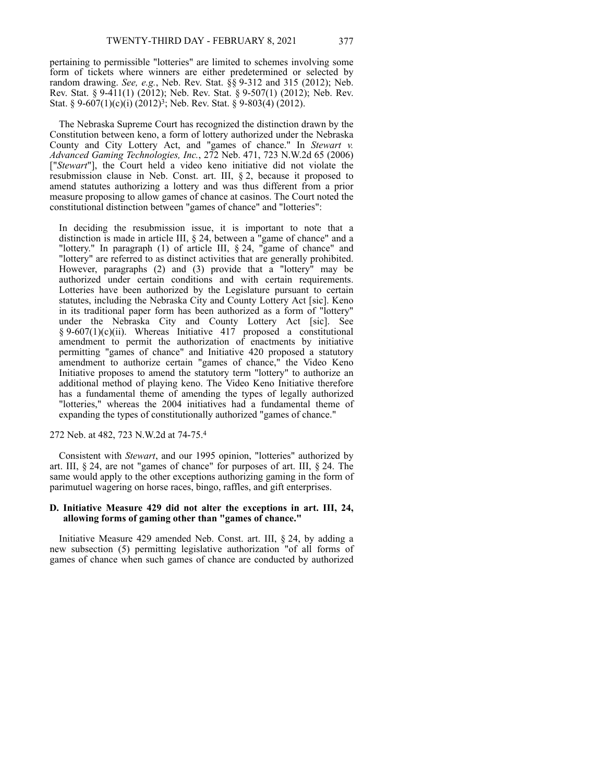pertaining to permissible "lotteries" are limited to schemes involving some form of tickets where winners are either predetermined or selected by random drawing. *See, e.g.*, Neb. Rev. Stat. §§ 9‑312 and 315 (2012); Neb. Rev. Stat. § 9‑411(1) (2012); Neb. Rev. Stat. § 9‑507(1) (2012); Neb. Rev. Stat. § 9-607(1)(c)(i)  $(2012)^3$ ; Neb. Rev. Stat. § 9-803(4)  $(2012)$ .

The Nebraska Supreme Court has recognized the distinction drawn by the Constitution between keno, a form of lottery authorized under the Nebraska County and City Lottery Act, and "games of chance." In *Stewart v. Advanced Gaming Technologies, Inc.*, 272 Neb. 471, 723 N.W.2d 65 (2006) ["*Stewart*"], the Court held a video keno initiative did not violate the resubmission clause in Neb. Const. art. III, § 2, because it proposed to amend statutes authorizing a lottery and was thus different from a prior measure proposing to allow games of chance at casinos. The Court noted the constitutional distinction between "games of chance" and "lotteries":

In deciding the resubmission issue, it is important to note that a distinction is made in article III, § 24, between a "game of chance" and a "lottery." In paragraph (1) of article III, § 24, "game of chance" and "lottery" are referred to as distinct activities that are generally prohibited. However, paragraphs (2) and (3) provide that a "lottery" may be authorized under certain conditions and with certain requirements. Lotteries have been authorized by the Legislature pursuant to certain statutes, including the Nebraska City and County Lottery Act [sic]. Keno in its traditional paper form has been authorized as a form of "lottery" under the Nebraska City and County Lottery Act [sic]. See § 9-607(1)(c)(ii). Whereas Initiative 417 proposed a constitutional amendment to permit the authorization of enactments by initiative permitting "games of chance" and Initiative 420 proposed a statutory amendment to authorize certain "games of chance," the Video Keno Initiative proposes to amend the statutory term "lottery" to authorize an additional method of playing keno. The Video Keno Initiative therefore has a fundamental theme of amending the types of legally authorized "lotteries," whereas the 2004 initiatives had a fundamental theme of expanding the types of constitutionally authorized "games of chance."

# 272 Neb. at 482, 723 N.W.2d at 74‑75.<sup>4</sup>

Consistent with *Stewart*, and our 1995 opinion, "lotteries" authorized by art. III, § 24, are not "games of chance" for purposes of art. III, § 24. The same would apply to the other exceptions authorizing gaming in the form of parimutuel wagering on horse races, bingo, raffles, and gift enterprises.

#### **D. Initiative Measure 429 did not alter the exceptions in art. III, 24, allowing forms of gaming other than "games of chance."**

Initiative Measure 429 amended Neb. Const. art. III, § 24, by adding a new subsection (5) permitting legislative authorization "of all forms of games of chance when such games of chance are conducted by authorized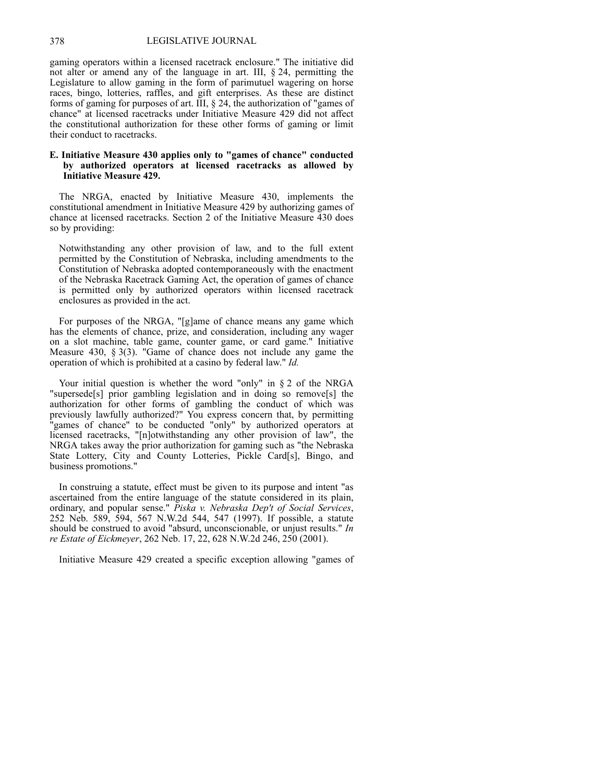#### 378 LEGISLATIVE JOURNAL

gaming operators within a licensed racetrack enclosure." The initiative did not alter or amend any of the language in art. III,  $\S$  24, permitting the Legislature to allow gaming in the form of parimutuel wagering on horse races, bingo, lotteries, raffles, and gift enterprises. As these are distinct forms of gaming for purposes of art. III, § 24, the authorization of "games of chance" at licensed racetracks under Initiative Measure 429 did not affect the constitutional authorization for these other forms of gaming or limit their conduct to racetracks.

#### **E. Initiative Measure 430 applies only to "games of chance" conducted by authorized operators at licensed racetracks as allowed by Initiative Measure 429.**

The NRGA, enacted by Initiative Measure 430, implements the constitutional amendment in Initiative Measure 429 by authorizing games of chance at licensed racetracks. Section 2 of the Initiative Measure 430 does so by providing:

Notwithstanding any other provision of law, and to the full extent permitted by the Constitution of Nebraska, including amendments to the Constitution of Nebraska adopted contemporaneously with the enactment of the Nebraska Racetrack Gaming Act, the operation of games of chance is permitted only by authorized operators within licensed racetrack enclosures as provided in the act.

For purposes of the NRGA, "[g]ame of chance means any game which has the elements of chance, prize, and consideration, including any wager on a slot machine, table game, counter game, or card game." Initiative Measure 430, § 3(3). "Game of chance does not include any game the operation of which is prohibited at a casino by federal law." *Id.*

Your initial question is whether the word "only" in § 2 of the NRGA "supersede[s] prior gambling legislation and in doing so remove[s] the authorization for other forms of gambling the conduct of which was previously lawfully authorized?" You express concern that, by permitting "games of chance" to be conducted "only" by authorized operators at licensed racetracks, "[n]otwithstanding any other provision of law", the NRGA takes away the prior authorization for gaming such as "the Nebraska State Lottery, City and County Lotteries, Pickle Card[s], Bingo, and business promotions."

In construing a statute, effect must be given to its purpose and intent "as ascertained from the entire language of the statute considered in its plain, ordinary, and popular sense." *Piska v. Nebraska Dep't of Social Services*, 252 Neb. 589, 594, 567 N.W.2d 544, 547 (1997). If possible, a statute should be construed to avoid "absurd, unconscionable, or unjust results." *In re Estate of Eickmeyer*, 262 Neb. 17, 22, 628 N.W.2d 246, 250 (2001).

Initiative Measure 429 created a specific exception allowing "games of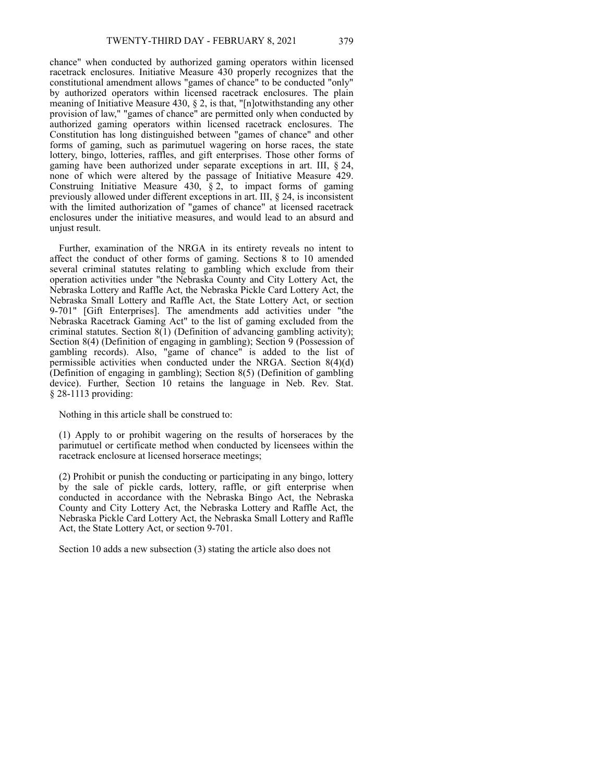chance" when conducted by authorized gaming operators within licensed racetrack enclosures. Initiative Measure 430 properly recognizes that the constitutional amendment allows "games of chance" to be conducted "only" by authorized operators within licensed racetrack enclosures. The plain meaning of Initiative Measure 430, § 2, is that, "[n]otwithstanding any other provision of law," "games of chance" are permitted only when conducted by authorized gaming operators within licensed racetrack enclosures. The Constitution has long distinguished between "games of chance" and other forms of gaming, such as parimutuel wagering on horse races, the state lottery, bingo, lotteries, raffles, and gift enterprises. Those other forms of gaming have been authorized under separate exceptions in art. III, § 24, none of which were altered by the passage of Initiative Measure 429. Construing Initiative Measure  $430, \, \,$ § 2, to impact forms of gaming previously allowed under different exceptions in art. III, § 24, is inconsistent with the limited authorization of "games of chance" at licensed racetrack enclosures under the initiative measures, and would lead to an absurd and unjust result.

Further, examination of the NRGA in its entirety reveals no intent to affect the conduct of other forms of gaming. Sections 8 to 10 amended several criminal statutes relating to gambling which exclude from their operation activities under "the Nebraska County and City Lottery Act, the Nebraska Lottery and Raffle Act, the Nebraska Pickle Card Lottery Act, the Nebraska Small Lottery and Raffle Act, the State Lottery Act, or section 9‑701" [Gift Enterprises]. The amendments add activities under "the Nebraska Racetrack Gaming Act" to the list of gaming excluded from the criminal statutes. Section 8(1) (Definition of advancing gambling activity); Section 8(4) (Definition of engaging in gambling); Section 9 (Possession of gambling records). Also, "game of chance" is added to the list of permissible activities when conducted under the NRGA. Section 8(4)(d) (Definition of engaging in gambling); Section 8(5) (Definition of gambling device). Further, Section 10 retains the language in Neb. Rev. Stat. § 28-1113 providing:

Nothing in this article shall be construed to:

(1) Apply to or prohibit wagering on the results of horseraces by the parimutuel or certificate method when conducted by licensees within the racetrack enclosure at licensed horserace meetings;

(2) Prohibit or punish the conducting or participating in any bingo, lottery by the sale of pickle cards, lottery, raffle, or gift enterprise when conducted in accordance with the Nebraska Bingo Act, the Nebraska County and City Lottery Act, the Nebraska Lottery and Raffle Act, the Nebraska Pickle Card Lottery Act, the Nebraska Small Lottery and Raffle Act, the State Lottery Act, or section 9–701.

Section 10 adds a new subsection (3) stating the article also does not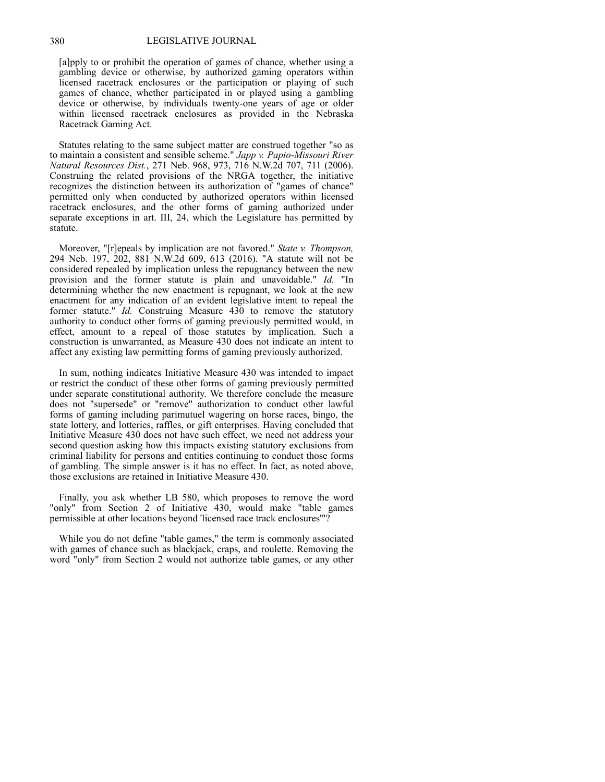#### 380 LEGISLATIVE JOURNAL

[a]pply to or prohibit the operation of games of chance, whether using a gambling device or otherwise, by authorized gaming operators within licensed racetrack enclosures or the participation or playing of such games of chance, whether participated in or played using a gambling device or otherwise, by individuals twenty‑one years of age or older within licensed racetrack enclosures as provided in the Nebraska Racetrack Gaming Act.

Statutes relating to the same subject matter are construed together "so as to maintain a consistent and sensible scheme." *Japp v. Papio‑Missouri River Natural Resources Dist.*, 271 Neb. 968, 973, 716 N.W.2d 707, 711 (2006). Construing the related provisions of the NRGA together, the initiative recognizes the distinction between its authorization of "games of chance" permitted only when conducted by authorized operators within licensed racetrack enclosures, and the other forms of gaming authorized under separate exceptions in art. III, 24, which the Legislature has permitted by statute.

Moreover, "[r]epeals by implication are not favored." *State v. Thompson,* 294 Neb. 197, 202, 881 N.W.2d 609, 613 (2016). "A statute will not be considered repealed by implication unless the repugnancy between the new provision and the former statute is plain and unavoidable." *Id.* "In determining whether the new enactment is repugnant, we look at the new enactment for any indication of an evident legislative intent to repeal the former statute." *Id.* Construing Measure 430 to remove the statutory authority to conduct other forms of gaming previously permitted would, in effect, amount to a repeal of those statutes by implication. Such a construction is unwarranted, as Measure 430 does not indicate an intent to affect any existing law permitting forms of gaming previously authorized.

In sum, nothing indicates Initiative Measure 430 was intended to impact or restrict the conduct of these other forms of gaming previously permitted under separate constitutional authority. We therefore conclude the measure does not "supersede" or "remove" authorization to conduct other lawful forms of gaming including parimutuel wagering on horse races, bingo, the state lottery, and lotteries, raffles, or gift enterprises. Having concluded that Initiative Measure 430 does not have such effect, we need not address your second question asking how this impacts existing statutory exclusions from criminal liability for persons and entities continuing to conduct those forms of gambling. The simple answer is it has no effect. In fact, as noted above, those exclusions are retained in Initiative Measure 430.

Finally, you ask whether LB 580, which proposes to remove the word "only" from Section 2 of Initiative 430, would make "table games permissible at other locations beyond 'licensed race track enclosures'"?

While you do not define "table games," the term is commonly associated with games of chance such as blackjack, craps, and roulette. Removing the word "only" from Section 2 would not authorize table games, or any other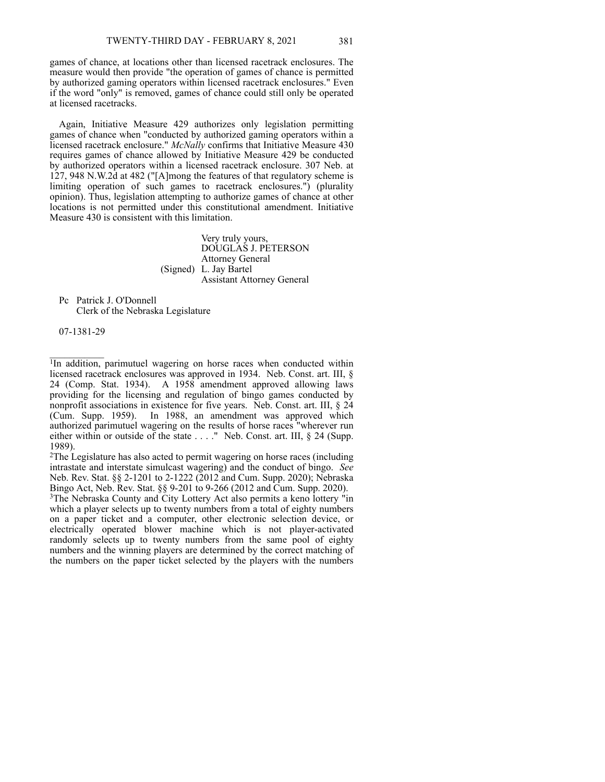games of chance, at locations other than licensed racetrack enclosures. The measure would then provide "the operation of games of chance is permitted by authorized gaming operators within licensed racetrack enclosures." Even if the word "only" is removed, games of chance could still only be operated at licensed racetracks.

Again, Initiative Measure 429 authorizes only legislation permitting games of chance when "conducted by authorized gaming operators within a licensed racetrack enclosure." *McNally* confirms that Initiative Measure 430 requires games of chance allowed by Initiative Measure 429 be conducted by authorized operators within a licensed racetrack enclosure. 307 Neb. at 127, 948 N.W.2d at 482 ("[A]mong the features of that regulatory scheme is limiting operation of such games to racetrack enclosures.") (plurality opinion). Thus, legislation attempting to authorize games of chance at other locations is not permitted under this constitutional amendment. Initiative Measure 430 is consistent with this limitation.

> Very truly yours, DOUGLAS J. PETERSON Attorney General (Signed) L. Jay Bartel Assistant Attorney General

Pc Patrick J. O'Donnell Clerk of the Nebraska Legislature

07‑1381‑29

 $\mathcal{L}=\mathcal{L}^{\mathcal{L}}$ 

<sup>1</sup>In addition, parimutuel wagering on horse races when conducted within licensed racetrack enclosures was approved in 1934. Neb. Const. art. III, § 24 (Comp. Stat. 1934). A 1958 amendment approved allowing laws providing for the licensing and regulation of bingo games conducted by nonprofit associations in existence for five years. Neb. Const. art. III, § 24 (Cum. Supp. 1959). In 1988, an amendment was approved which authorized parimutuel wagering on the results of horse races "wherever run either within or outside of the state . . . ." Neb. Const. art. III, § 24 (Supp. 1989).

<sup>2</sup>The Legislature has also acted to permit wagering on horse races (including intrastate and interstate simulcast wagering) and the conduct of bingo. *See* Neb. Rev. Stat. §§ 2‑1201 to 2‑1222 (2012 and Cum. Supp. 2020); Nebraska Bingo Act, Neb. Rev. Stat. §§ 9-201 to 9-266 (2012 and Cum. Supp. 2020).

<sup>3</sup>The Nebraska County and City Lottery Act also permits a keno lottery "in which a player selects up to twenty numbers from a total of eighty numbers on a paper ticket and a computer, other electronic selection device, or electrically operated blower machine which is not player-activated randomly selects up to twenty numbers from the same pool of eighty numbers and the winning players are determined by the correct matching of the numbers on the paper ticket selected by the players with the numbers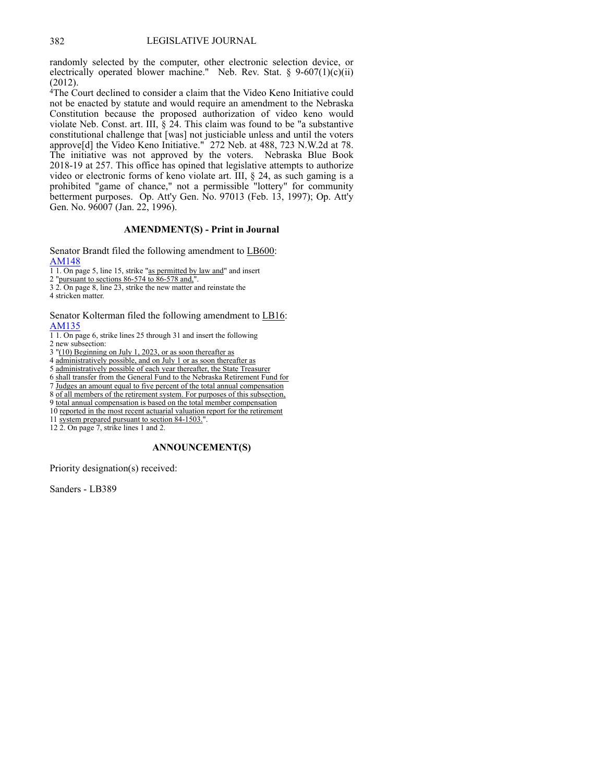randomly selected by the computer, other electronic selection device, or electrically operated blower machine." Neb. Rev. Stat. §  $9-607(1)(c)(ii)$ (2012).

 $4$ The Court declined to consider a claim that the Video Keno Initiative could not be enacted by statute and would require an amendment to the Nebraska Constitution because the proposed authorization of video keno would violate Neb. Const. art. III,  $\S$  24. This claim was found to be "a substantive constitutional challenge that [was] not justiciable unless and until the voters approve[d] the Video Keno Initiative." 272 Neb. at 488, 723 N.W.2d at 78. The initiative was not approved by the voters. Nebraska Blue Book 2018‑19 at 257. This office has opined that legislative attempts to authorize video or electronic forms of keno violate art. III, § 24, as such gaming is a prohibited "game of chance," not a permissible "lottery" for community betterment purposes. Op. Att'y Gen. No. 97013 (Feb. 13, 1997); Op. Att'y Gen. No. 96007 (Jan. 22, 1996).

## **AMENDMENT(S) - Print in Journal**

Senator Brandt filed the following amendment to LB600: [AM148](https://www.nebraskalegislature.gov/FloorDocs/107/PDF/AM/AM148.pdf)

1 1. On page 5, line 15, strike "as permitted by law and" and insert

2 "pursuant to sections 86‑574 to 86‑578 and,".

3 2. On page 8, line 23, strike the new matter and reinstate the

4 stricken matter.

#### Senator Kolterman filed the following amendment to LB16: [AM135](https://www.nebraskalegislature.gov/FloorDocs/107/PDF/AM/AM135.pdf)

1 1. On page 6, strike lines 25 through 31 and insert the following 2 new subsection:

3 "(10) Beginning on July 1, 2023, or as soon thereafter as

4 administratively possible, and on July 1 or as soon thereafter as

5 administratively possible of each year thereafter, the State Treasurer

6 shall transfer from the General Fund to the Nebraska Retirement Fund for

7 Judges an amount equal to five percent of the total annual compensation

8 of all members of the retirement system. For purposes of this subsection,

9 total annual compensation is based on the total member compensation

10 reported in the most recent actuarial valuation report for the retirement

11 system prepared pursuant to section 84-1503."

12 2. On page 7, strike lines 1 and 2.

#### **ANNOUNCEMENT(S)**

Priority designation(s) received:

Sanders - LB389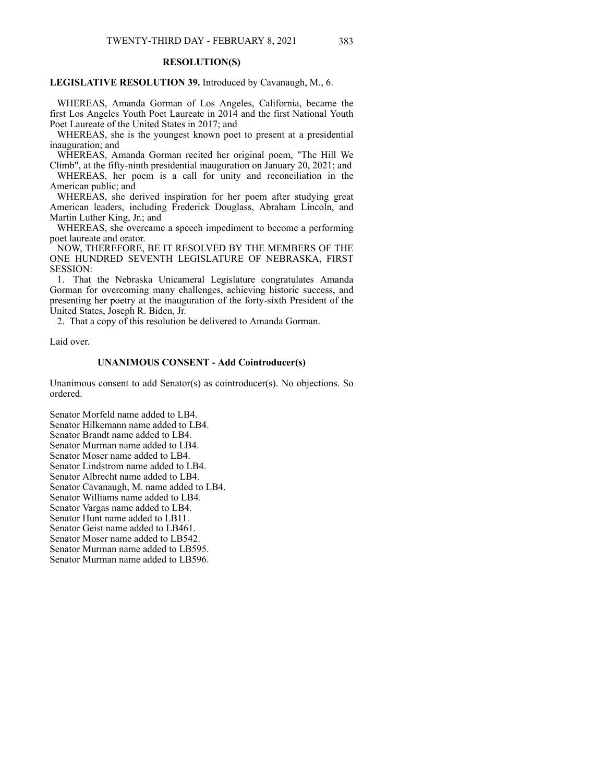## **RESOLUTION(S)**

#### **LEGISLATIVE RESOLUTION 39.** Introduced by Cavanaugh, M., 6.

 WHEREAS, Amanda Gorman of Los Angeles, California, became the first Los Angeles Youth Poet Laureate in 2014 and the first National Youth Poet Laureate of the United States in 2017; and

 WHEREAS, she is the youngest known poet to present at a presidential inauguration; and

 WHEREAS, Amanda Gorman recited her original poem, "The Hill We Climb", at the fifty-ninth presidential inauguration on January 20, 2021; and

 WHEREAS, her poem is a call for unity and reconciliation in the American public; and

 WHEREAS, she derived inspiration for her poem after studying great American leaders, including Frederick Douglass, Abraham Lincoln, and Martin Luther King, Jr.; and

 WHEREAS, she overcame a speech impediment to become a performing poet laureate and orator.

 NOW, THEREFORE, BE IT RESOLVED BY THE MEMBERS OF THE ONE HUNDRED SEVENTH LEGISLATURE OF NEBRASKA, FIRST SESSION:

 1. That the Nebraska Unicameral Legislature congratulates Amanda Gorman for overcoming many challenges, achieving historic success, and presenting her poetry at the inauguration of the forty‑sixth President of the United States, Joseph R. Biden, Jr.

2. That a copy of this resolution be delivered to Amanda Gorman.

Laid over.

## **UNANIMOUS CONSENT - Add Cointroducer(s)**

Unanimous consent to add Senator(s) as cointroducer(s). No objections. So ordered.

Senator Morfeld name added to LB4. Senator Hilkemann name added to LB4. Senator Brandt name added to LB4. Senator Murman name added to LB4.

Senator Moser name added to LB4.

Senator Lindstrom name added to LB4.

Senator Albrecht name added to LB4.

Senator Cavanaugh, M. name added to LB4.

Senator Williams name added to LB4.

Senator Vargas name added to LB4.

Senator Hunt name added to LB11.

Senator Geist name added to LB461.

Senator Moser name added to LB542.

Senator Murman name added to LB595.

Senator Murman name added to LB596.